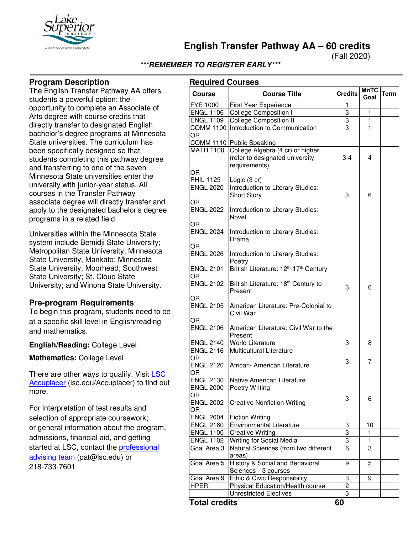

**English Transfer Pathway AA – 60 credits**

(Fall 2020)

# **\*\*\*REMEMBER TO REGISTER EARLY\*\*\***

### **Program Description**

The English Transfer Pathway AA offers students a powerful option: the opportunity to complete an Associate of Arts degree with course credits that directly transfer to designated English bachelor's degree programs at Minnesota State universities. The curriculum has been specifically designed so that students completing this pathway degree and transferring to one of the seven Minnesota State universities enter the university with junior-year status. All courses in the Transfer Pathway associate degree will directly transfer and apply to the designated bachelor's degree programs in a related field.

Universities within the Minnesota State system include Bemidji State University; Metropolitan State University; Minnesota State University, Mankato; Minnesota State University, Moorhead; Southwest State University; St. Cloud State University; and Winona State University.

## **Pre-program Requirements**

To begin this program, students need to be at a specific skill level in English/reading and mathematics.

**English/Reading:** College Level

**Mathematics:** College Level

There are other ways to qualify. Visit LSC [Accuplacer](https://www.lsc.edu/accuplacer/) (lsc.edu/Accuplacer) to find out more.

For interpretation of test results and selection of appropriate coursework; or general information about the program, admissions, financial aid, and getting started at LSC, contact the [professional](mailto:pat@lsc.edu)  [advising team](mailto:pat@lsc.edu) (pat@lsc.edu) or 218-733-7601

| <b>Required Courses</b> |                                                                                                                   |                |              |      |  |  |
|-------------------------|-------------------------------------------------------------------------------------------------------------------|----------------|--------------|------|--|--|
| <b>Course</b>           | <b>Course Title</b>                                                                                               | <b>Credits</b> | MnTC<br>Goal | Term |  |  |
| FYE 1000                | <b>First Year Experience</b>                                                                                      | 1              |              |      |  |  |
| <b>ENGL 1106</b>        | College Composition I                                                                                             | $\overline{3}$ | 1            |      |  |  |
| <b>ENGL 1109</b>        | College Composition II                                                                                            | $\overline{3}$ | $\mathbf{1}$ |      |  |  |
| OR                      | COMM 1100 Introduction to Communication                                                                           | 3              | 1            |      |  |  |
| <b>MATH 1100</b>        | COMM 1110 Public Speaking<br>College Algebra (4 cr) or higher<br>(refer to designated university<br>requirements) | $3 - 4$        | 4            |      |  |  |
| OR<br><b>PHIL 1125</b>  | Logic (3 cr)                                                                                                      |                |              |      |  |  |
| <b>ENGL 2020</b>        | Introduction to Literary Studies:<br><b>Short Story</b>                                                           | 3              | 6            |      |  |  |
| OR<br><b>ENGL 2022</b>  | Introduction to Literary Studies:<br>Novel                                                                        |                |              |      |  |  |
| OR<br><b>ENGL 2024</b>  | Introduction to Literary Studies:<br>Drama                                                                        |                |              |      |  |  |
| OR.<br><b>ENGL 2026</b> | Introduction to Literary Studies:<br>Poetry                                                                       |                |              |      |  |  |
| <b>ENGL 2101</b><br>OR. | British Literature: 12 <sup>th</sup> -17 <sup>th</sup> Century                                                    |                |              |      |  |  |
| <b>ENGL 2102</b>        | British Literature: 18 <sup>th</sup> Century to<br>Present                                                        | 3              | 6            |      |  |  |
| OR<br><b>ENGL 2105</b>  | American Literature: Pre-Colonial to<br>Civil War                                                                 |                |              |      |  |  |
| OR<br><b>ENGL 2106</b>  | American Literature: Civil War to the<br>Present                                                                  |                |              |      |  |  |
| <b>ENGL 2140</b>        | <b>World Literature</b>                                                                                           | 3              | 8            |      |  |  |
| <b>ENGL 2116</b><br>OR  | Multicultural Literature                                                                                          |                |              |      |  |  |
| <b>ENGL 2120</b><br>OR  | African- American Literature                                                                                      | 3              | 7            |      |  |  |
| <b>ENGL 2130</b>        | Native American Literature                                                                                        |                |              |      |  |  |
| <b>ENGL 2000</b><br>OR  | Poetry Writing                                                                                                    | 3              | 6            |      |  |  |
| <b>ENGL 2002</b><br>OR. | <b>Creative Nonfiction Writing</b>                                                                                |                |              |      |  |  |
| <b>ENGL 2004</b>        | <b>Fiction Writing</b>                                                                                            |                |              |      |  |  |
| <b>ENGL 2160</b>        | Environmental Literature                                                                                          | 3              | 10           |      |  |  |
| <b>ENGL 1100</b>        | <b>Creative Writing</b>                                                                                           | $\overline{3}$ | 1            |      |  |  |
| <b>ENGL 1102</b>        | Writing for Social Media                                                                                          | $\overline{3}$ | $\mathbf{1}$ |      |  |  |
| Goal Area 3             | Natural Sciences (from two different<br>areas)                                                                    | 6              | 3            |      |  |  |
| Goal Area 5             | History & Social and Behavioral<br>Sciences-3 courses                                                             | 9              | 5            |      |  |  |
| Goal Area 9             | Ethic & Civic Responsibility                                                                                      | 3              | 9            |      |  |  |
| <b>HPER</b>             | Physical Education/Health course                                                                                  | 2              |              |      |  |  |
|                         | <b>Unrestricted Electives</b>                                                                                     | 3              |              |      |  |  |

**Total credits 60**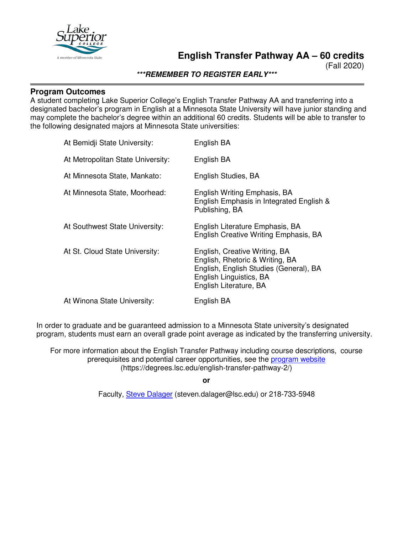

(Fall 2020)

**\*\*\*REMEMBER TO REGISTER EARLY\*\*\***

### **Program Outcomes**

A student completing Lake Superior College's English Transfer Pathway AA and transferring into a designated bachelor's program in English at a Minnesota State University will have junior standing and may complete the bachelor's degree within an additional 60 credits. Students will be able to transfer to the following designated majors at Minnesota State universities:

| At Bemidji State University:      | English BA                                                                                                                                                      |
|-----------------------------------|-----------------------------------------------------------------------------------------------------------------------------------------------------------------|
| At Metropolitan State University: | English BA                                                                                                                                                      |
| At Minnesota State, Mankato:      | English Studies, BA                                                                                                                                             |
| At Minnesota State, Moorhead:     | English Writing Emphasis, BA<br>English Emphasis in Integrated English &<br>Publishing, BA                                                                      |
| At Southwest State University:    | English Literature Emphasis, BA<br>English Creative Writing Emphasis, BA                                                                                        |
| At St. Cloud State University:    | English, Creative Writing, BA<br>English, Rhetoric & Writing, BA<br>English, English Studies (General), BA<br>English Linguistics, BA<br>English Literature, BA |
| At Winona State University:       | English BA                                                                                                                                                      |

In order to graduate and be guaranteed admission to a Minnesota State university's designated program, students must earn an overall grade point average as indicated by the transferring university.

For more information about the English Transfer Pathway including course descriptions, course prerequisites and potential career opportunities, see the [program website](https://degrees.lsc.edu/english-transfer-pathway-2/) (https://degrees.lsc.edu/english-transfer-pathway-2/)

**or**

Faculty, [Steve Dalager](mailto:steven.dalager@lsc.edu) (steven.dalager@lsc.edu) or 218-733-5948